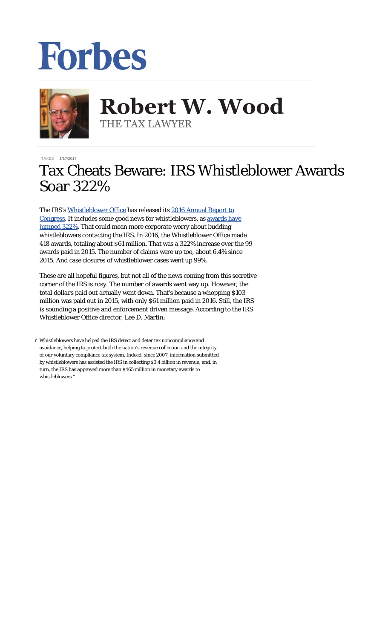## Forbes



**Robert W. Wood Robert W. Wood** THE TAX LAWYER THE TAX LAWYER

**[TAXES](http://www.forbes.com/taxes)** 1/17/2017

## Tax Cheats Beware: IRS Whistleblower Awards Soar 322%

The IRS's [Whistleblower Office](https://www.irs.gov/uac/Whistleblower-Informant-Award) has released its [2016 Annual Report to](https://www.irs.gov/pub/whistleblower/fy16_wo_annual_report_final.pdf) [Congress](https://www.irs.gov/pub/whistleblower/fy16_wo_annual_report_final.pdf). It includes some good news for whistleblowers, as [awards have](http://taxprof.typepad.com/taxprof_blog/2017/01/irs-whistleblower-awards-jump-322.html) [jumped 322%](http://taxprof.typepad.com/taxprof_blog/2017/01/irs-whistleblower-awards-jump-322.html). That could mean more corporate worry about budding whistleblowers contacting the IRS. In 2016, the Whistleblower Office made 418 awards, totaling about \$61 million. That was a 322% increase over the 99 awards paid in 2015. The number of claims were up too, about 6.4% since 2015. And case closures of whistleblower cases went up 99%.

These are all hopeful figures, but not all of the news coming from this secretive corner of the IRS is rosy. The *number* of awards went way up. However, the total *dollars* paid out actually went down. That's because a whopping \$103 million was paid out in 2015, with only \$61 million paid in 2016. Still, the IRS is sounding a positive and enforcement driven message. According to the IRS Whistleblower Office director, Lee D. Martin:

" Whistleblowers have helped the IRS detect and deter tax noncompliance and avoidance, helping to protect both the nation's revenue collection and the integrity of our voluntary compliance tax system. Indeed, since 2007, information submitted by whistleblowers has assisted the IRS in collecting \$3.4 billion in revenue, and, in turn, the IRS has approved more than \$465 million in monetary awards to whistleblowers."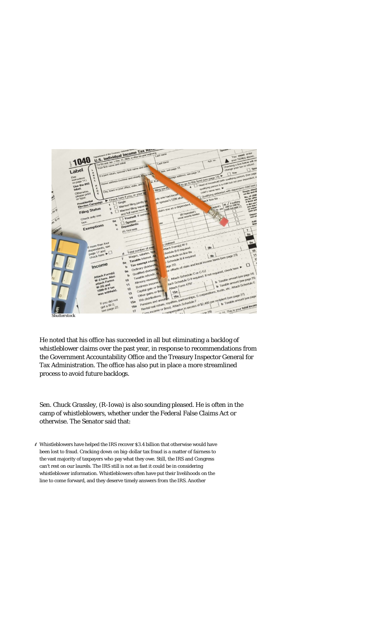

He noted that his office has succeeded in all but eliminating a backlog of whistleblower claims over the past year, in response to recommendations from the Government Accountability Office and the Treasury Inspector General for Tax Administration. The office has also put in place a more streamlined process to avoid future backlogs.

Sen. Chuck Grassley, (R-Iowa) is also sounding pleased. He is often in the camp of whistleblowers, whether under the Federal False Claims Act or otherwise. The Senator said that:

" Whistleblowers have helped the IRS recover \$3.4 billion that otherwise would have been lost to fraud. Cracking down on big-dollar tax fraud is a matter of fairness to the vast majority of taxpayers who pay what they owe. Still, the IRS and Congress can't rest on our laurels. The IRS still is not as fast it could be in considering whistleblower information. Whistleblowers often have put their livelihoods on the line to come forward, and they deserve timely answers from the IRS. Another